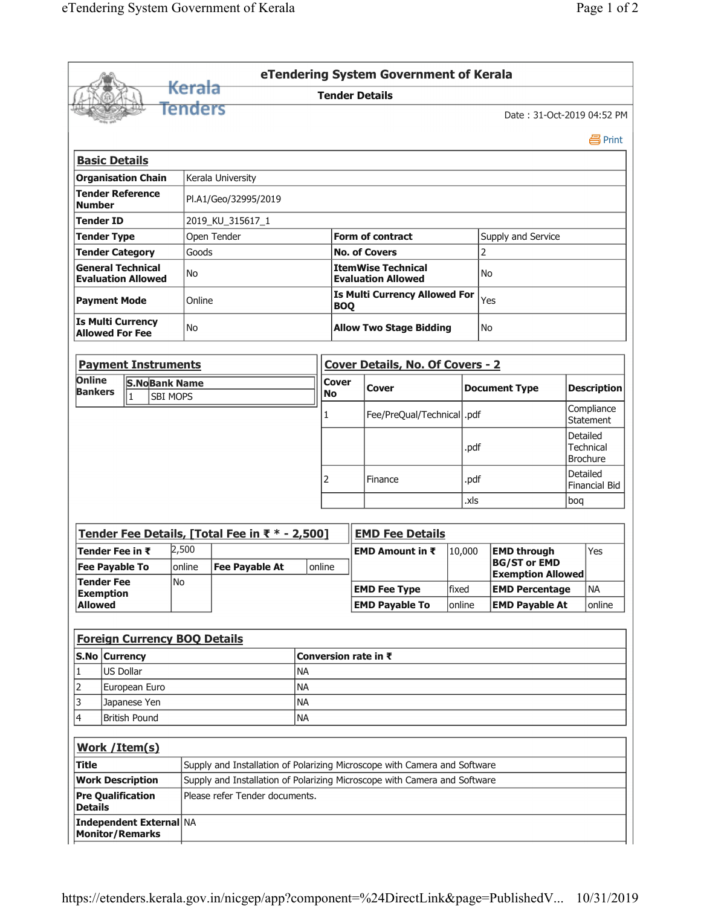|                                                       |                                                    |                                                   |                      |                                                                           |                                                                           |  |                                                        |                                                    | eTendering System Government of Kerala    |        |        |                                                 |                                |                                          |  |  |
|-------------------------------------------------------|----------------------------------------------------|---------------------------------------------------|----------------------|---------------------------------------------------------------------------|---------------------------------------------------------------------------|--|--------------------------------------------------------|----------------------------------------------------|-------------------------------------------|--------|--------|-------------------------------------------------|--------------------------------|------------------------------------------|--|--|
|                                                       |                                                    |                                                   |                      | <del>Kerala</del>                                                         |                                                                           |  |                                                        |                                                    | <b>Tender Details</b>                     |        |        |                                                 |                                |                                          |  |  |
|                                                       |                                                    |                                                   |                      | <b>Fenders</b>                                                            |                                                                           |  |                                                        |                                                    |                                           |        |        | Date: 31-Oct-2019 04:52 PM                      |                                |                                          |  |  |
|                                                       |                                                    |                                                   |                      |                                                                           |                                                                           |  |                                                        |                                                    |                                           |        |        |                                                 |                                | 昌 Print                                  |  |  |
|                                                       |                                                    | <b>Basic Details</b>                              |                      |                                                                           |                                                                           |  |                                                        |                                                    |                                           |        |        |                                                 |                                |                                          |  |  |
| <b>Organisation Chain</b><br>Kerala University        |                                                    |                                                   |                      |                                                                           |                                                                           |  |                                                        |                                                    |                                           |        |        |                                                 |                                |                                          |  |  |
| <b>Tender Reference</b><br><b>Number</b>              |                                                    |                                                   |                      |                                                                           | Pl.A1/Geo/32995/2019                                                      |  |                                                        |                                                    |                                           |        |        |                                                 |                                |                                          |  |  |
| <b>Tender ID</b>                                      |                                                    |                                                   |                      |                                                                           | 2019_KU_315617_1                                                          |  |                                                        |                                                    |                                           |        |        |                                                 |                                |                                          |  |  |
| Open Tender<br><b>Tender Type</b>                     |                                                    |                                                   |                      |                                                                           |                                                                           |  |                                                        |                                                    | <b>Form of contract</b>                   |        |        | Supply and Service                              |                                |                                          |  |  |
|                                                       |                                                    | <b>Tender Category</b>                            |                      | Goods                                                                     |                                                                           |  | <b>No. of Covers</b>                                   |                                                    |                                           |        |        | 2                                               |                                |                                          |  |  |
| <b>General Technical</b><br><b>Evaluation Allowed</b> |                                                    |                                                   |                      | No                                                                        |                                                                           |  | <b>ItemWise Technical</b><br><b>Evaluation Allowed</b> |                                                    |                                           |        |        | No                                              |                                |                                          |  |  |
|                                                       | <b>Payment Mode</b>                                |                                                   |                      |                                                                           | Online                                                                    |  |                                                        | <b>Is Multi Currency Allowed For</b><br><b>BOQ</b> |                                           |        | Yes    |                                                 |                                |                                          |  |  |
|                                                       | <b>Is Multi Currency</b><br><b>Allowed For Fee</b> |                                                   |                      |                                                                           | No                                                                        |  |                                                        |                                                    | <b>Allow Two Stage Bidding</b>            |        | No     |                                                 |                                |                                          |  |  |
| <b>Payment Instruments</b>                            |                                                    |                                                   |                      |                                                                           |                                                                           |  |                                                        | <b>Cover Details, No. Of Covers - 2</b>            |                                           |        |        |                                                 |                                |                                          |  |  |
| <b>Online</b>                                         |                                                    |                                                   | <b>S.NoBank Name</b> |                                                                           |                                                                           |  | <b>Cover</b>                                           |                                                    |                                           |        |        |                                                 |                                |                                          |  |  |
| <b>Bankers</b>                                        |                                                    | $\vert$ 1                                         | <b>SBI MOPS</b>      |                                                                           |                                                                           |  | <b>No</b>                                              |                                                    | <b>Cover</b>                              |        |        | <b>Document Type</b>                            | <b>Description</b>             |                                          |  |  |
|                                                       |                                                    |                                                   |                      |                                                                           |                                                                           |  | $\mathbf{1}$                                           |                                                    | Fee/PreQual/Technical  .pdf               |        |        |                                                 | Compliance<br><b>Statement</b> |                                          |  |  |
|                                                       |                                                    |                                                   |                      |                                                                           |                                                                           |  |                                                        |                                                    |                                           |        | .pdf   |                                                 |                                | Detailed<br>Technical<br><b>Brochure</b> |  |  |
|                                                       |                                                    |                                                   |                      |                                                                           |                                                                           |  | 2                                                      |                                                    | Finance                                   |        | .pdf   |                                                 |                                | Detailed<br><b>Financial Bid</b>         |  |  |
|                                                       |                                                    |                                                   |                      |                                                                           |                                                                           |  |                                                        |                                                    | .xls                                      |        |        | bog                                             |                                |                                          |  |  |
|                                                       |                                                    |                                                   |                      |                                                                           | Tender Fee Details, [Total Fee in ₹ * - 2,500]                            |  |                                                        |                                                    | <b>EMD Fee Details</b>                    |        |        |                                                 |                                |                                          |  |  |
| Tender Fee in ₹                                       |                                                    |                                                   |                      | 2,500                                                                     |                                                                           |  |                                                        |                                                    | <b>EMD Amount in <math>\bar{x}</math></b> |        | 10,000 | <b>EMD through</b>                              |                                | Yes                                      |  |  |
|                                                       | <b>Fee Payable To</b><br><b>Tender Fee</b><br>No   |                                                   |                      | online                                                                    | <b>Fee Payable At</b>                                                     |  | online                                                 |                                                    |                                           |        |        | <b>BG/ST or EMD</b><br><b>Exemption Allowed</b> |                                |                                          |  |  |
|                                                       | <b>Exemption</b>                                   |                                                   |                      |                                                                           |                                                                           |  |                                                        |                                                    | <b>EMD Fee Type</b>                       | fixed  |        | <b>EMD Percentage</b>                           |                                | <b>NA</b>                                |  |  |
| <b>Allowed</b>                                        |                                                    |                                                   |                      |                                                                           |                                                                           |  |                                                        |                                                    | <b>EMD Payable To</b>                     | online |        | <b>EMD Payable At</b>                           |                                | online                                   |  |  |
|                                                       |                                                    |                                                   |                      |                                                                           | <b>Foreign Currency BOQ Details</b>                                       |  |                                                        |                                                    |                                           |        |        |                                                 |                                |                                          |  |  |
| S.No Currency                                         |                                                    |                                                   |                      |                                                                           |                                                                           |  |                                                        |                                                    |                                           |        |        |                                                 |                                |                                          |  |  |
| 1                                                     |                                                    | US Dollar                                         |                      | <b>NA</b>                                                                 |                                                                           |  |                                                        | Conversion rate in $\bar{\tau}$                    |                                           |        |        |                                                 |                                |                                          |  |  |
| $\overline{2}$                                        |                                                    | European Euro                                     |                      | <b>NA</b>                                                                 |                                                                           |  |                                                        |                                                    |                                           |        |        |                                                 |                                |                                          |  |  |
| 3                                                     |                                                    | <b>NA</b><br>Japanese Yen                         |                      |                                                                           |                                                                           |  |                                                        |                                                    |                                           |        |        |                                                 |                                |                                          |  |  |
| 4<br><b>British Pound</b><br><b>NA</b>                |                                                    |                                                   |                      |                                                                           |                                                                           |  |                                                        |                                                    |                                           |        |        |                                                 |                                |                                          |  |  |
|                                                       |                                                    | Work / Item(s)                                    |                      |                                                                           |                                                                           |  |                                                        |                                                    |                                           |        |        |                                                 |                                |                                          |  |  |
| Title                                                 |                                                    |                                                   |                      | Supply and Installation of Polarizing Microscope with Camera and Software |                                                                           |  |                                                        |                                                    |                                           |        |        |                                                 |                                |                                          |  |  |
| <b>Work Description</b>                               |                                                    |                                                   |                      |                                                                           | Supply and Installation of Polarizing Microscope with Camera and Software |  |                                                        |                                                    |                                           |        |        |                                                 |                                |                                          |  |  |
| <b>Details</b>                                        |                                                    | <b>Pre Qualification</b>                          |                      |                                                                           | Please refer Tender documents.                                            |  |                                                        |                                                    |                                           |        |        |                                                 |                                |                                          |  |  |
|                                                       |                                                    | Independent External NA<br><b>Monitor/Remarks</b> |                      |                                                                           |                                                                           |  |                                                        |                                                    |                                           |        |        |                                                 |                                |                                          |  |  |